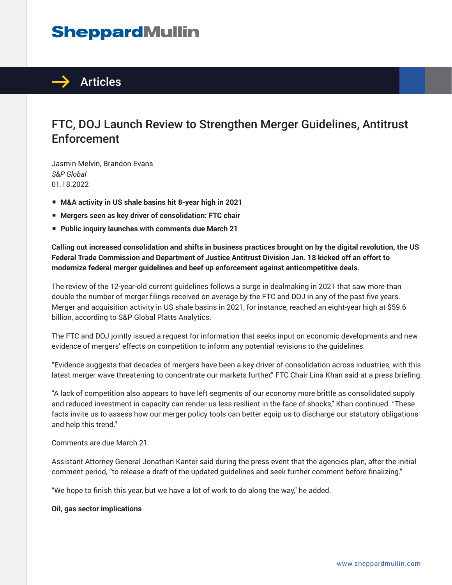# **SheppardMullin**



### FTC, DOJ Launch Review to Strengthen Merger Guidelines, Antitrust Enforcement

Jasmin Melvin, Brandon Evans *S&P Global* 01.18.2022

- M&A activity in US shale basins hit 8-year high in 2021
- **Mergers seen as key driver of consolidation: FTC chair**
- Public inquiry launches with comments due March 21

**Calling out increased consolidation and shifts in business practices brought on by the digital revolution, the US Federal Trade Commission and Department of Justice Antitrust Division Jan. 18 kicked off an effort to modernize federal merger guidelines and beef up enforcement against anticompetitive deals.**

The review of the 12-year-old current guidelines follows a surge in dealmaking in 2021 that saw more than double the number of merger filings received on average by the FTC and DOJ in any of the past five years. Merger and acquisition activity in US shale basins in 2021, for instance, reached an eight-year high at \$59.6 billion, according to S&P Global Platts Analytics.

The FTC and DOJ jointly issued a request for information that seeks input on economic developments and new evidence of mergers' effects on competition to inform any potential revisions to the guidelines.

"Evidence suggests that decades of mergers have been a key driver of consolidation across industries, with this latest merger wave threatening to concentrate our markets further," FTC Chair Lina Khan said at a press briefing.

"A lack of competition also appears to have left segments of our economy more brittle as consolidated supply and reduced investment in capacity can render us less resilient in the face of shocks," Khan continued. "These facts invite us to assess how our merger policy tools can better equip us to discharge our statutory obligations and help this trend."

Comments are due March 21.

Assistant Attorney General Jonathan Kanter said during the press event that the agencies plan, after the initial comment period, "to release a draft of the updated guidelines and seek further comment before finalizing."

"We hope to finish this year, but we have a lot of work to do along the way," he added.

#### **Oil, gas sector implications**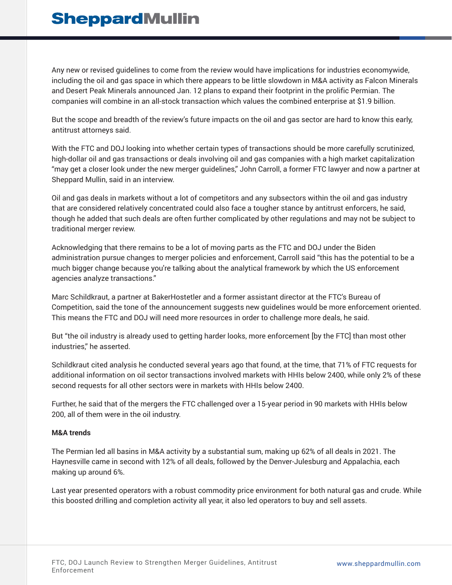## **SheppardMullin**

Any new or revised guidelines to come from the review would have implications for industries economywide, including the oil and gas space in which there appears to be little slowdown in M&A activity as Falcon Minerals and Desert Peak Minerals announced Jan. 12 plans to expand their footprint in the prolific Permian. The companies will combine in an all-stock transaction which values the combined enterprise at \$1.9 billion.

But the scope and breadth of the review's future impacts on the oil and gas sector are hard to know this early, antitrust attorneys said.

With the FTC and DOJ looking into whether certain types of transactions should be more carefully scrutinized, high-dollar oil and gas transactions or deals involving oil and gas companies with a high market capitalization "may get a closer look under the new merger guidelines," John Carroll, a former FTC lawyer and now a partner at Sheppard Mullin, said in an interview.

Oil and gas deals in markets without a lot of competitors and any subsectors within the oil and gas industry that are considered relatively concentrated could also face a tougher stance by antitrust enforcers, he said, though he added that such deals are often further complicated by other regulations and may not be subject to traditional merger review.

Acknowledging that there remains to be a lot of moving parts as the FTC and DOJ under the Biden administration pursue changes to merger policies and enforcement, Carroll said "this has the potential to be a much bigger change because you're talking about the analytical framework by which the US enforcement agencies analyze transactions."

Marc Schildkraut, a partner at BakerHostetler and a former assistant director at the FTC's Bureau of Competition, said the tone of the announcement suggests new guidelines would be more enforcement oriented. This means the FTC and DOJ will need more resources in order to challenge more deals, he said.

But "the oil industry is already used to getting harder looks, more enforcement [by the FTC] than most other industries," he asserted.

Schildkraut cited analysis he conducted several years ago that found, at the time, that 71% of FTC requests for additional information on oil sector transactions involved markets with HHIs below 2400, while only 2% of these second requests for all other sectors were in markets with HHIs below 2400.

Further, he said that of the mergers the FTC challenged over a 15-year period in 90 markets with HHIs below 200, all of them were in the oil industry.

#### **M&A trends**

The Permian led all basins in M&A activity by a substantial sum, making up 62% of all deals in 2021. The Haynesville came in second with 12% of all deals, followed by the Denver-Julesburg and Appalachia, each making up around 6%.

Last year presented operators with a robust commodity price environment for both natural gas and crude. While this boosted drilling and completion activity all year, it also led operators to buy and sell assets.